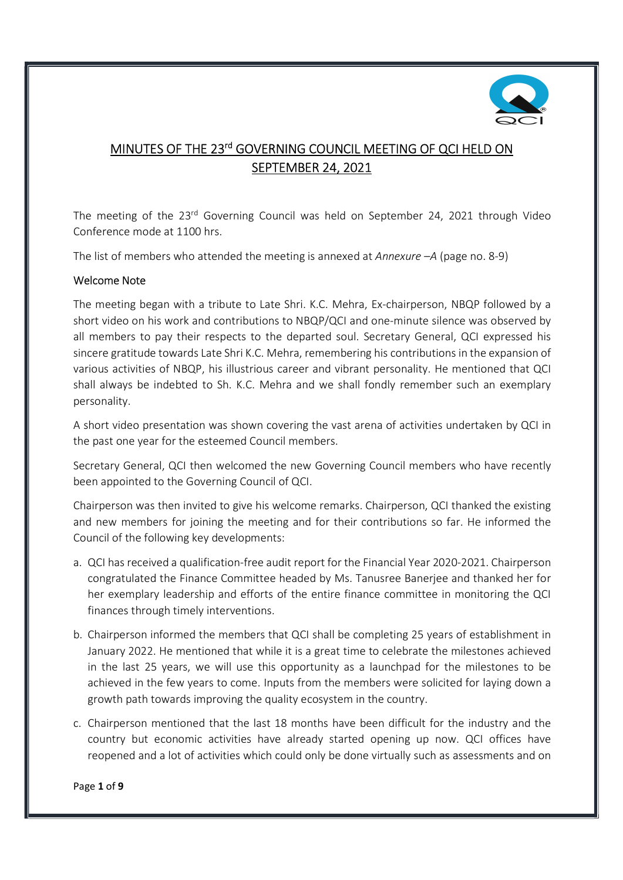

# MINUTES OF THE 23<sup>rd</sup> GOVERNING COUNCIL MEETING OF QCI HELD ON SEPTEMBER 24, 2021

The meeting of the 23<sup>rd</sup> Governing Council was held on September 24, 2021 through Video Conference mode at 1100 hrs.

The list of members who attended the meeting is annexed at Annexure - A (page no. 8-9)

#### Welcome Note

The meeting began with a tribute to Late Shri. K.C. Mehra, Ex-chairperson, NBQP followed by a short video on his work and contributions to NBQP/QCI and one-minute silence was observed by all members to pay their respects to the departed soul. Secretary General, QCI expressed his sincere gratitude towards Late Shri K.C. Mehra, remembering his contributions in the expansion of various activities of NBQP, his illustrious career and vibrant personality. He mentioned that QCI shall always be indebted to Sh. K.C. Mehra and we shall fondly remember such an exemplary personality.

A short video presentation was shown covering the vast arena of activities undertaken by QCI in the past one year for the esteemed Council members.

Secretary General, QCI then welcomed the new Governing Council members who have recently been appointed to the Governing Council of QCI.

Chairperson was then invited to give his welcome remarks. Chairperson, QCI thanked the existing and new members for joining the meeting and for their contributions so far. He informed the Council of the following key developments:

- a. QCI has received a qualification-free audit report for the Financial Year 2020-2021. Chairperson congratulated the Finance Committee headed by Ms. Tanusree Banerjee and thanked her for her exemplary leadership and efforts of the entire finance committee in monitoring the QCI finances through timely interventions.
- b. Chairperson informed the members that QCI shall be completing 25 years of establishment in January 2022. He mentioned that while it is a great time to celebrate the milestones achieved in the last 25 years, we will use this opportunity as a launchpad for the milestones to be achieved in the few years to come. Inputs from the members were solicited for laying down a growth path towards improving the quality ecosystem in the country.
- c. Chairperson mentioned that the last 18 months have been difficult for the industry and the country but economic activities have already started opening up now. QCI offices have reopened and a lot of activities which could only be done virtually such as assessments and on

Page 1 of 9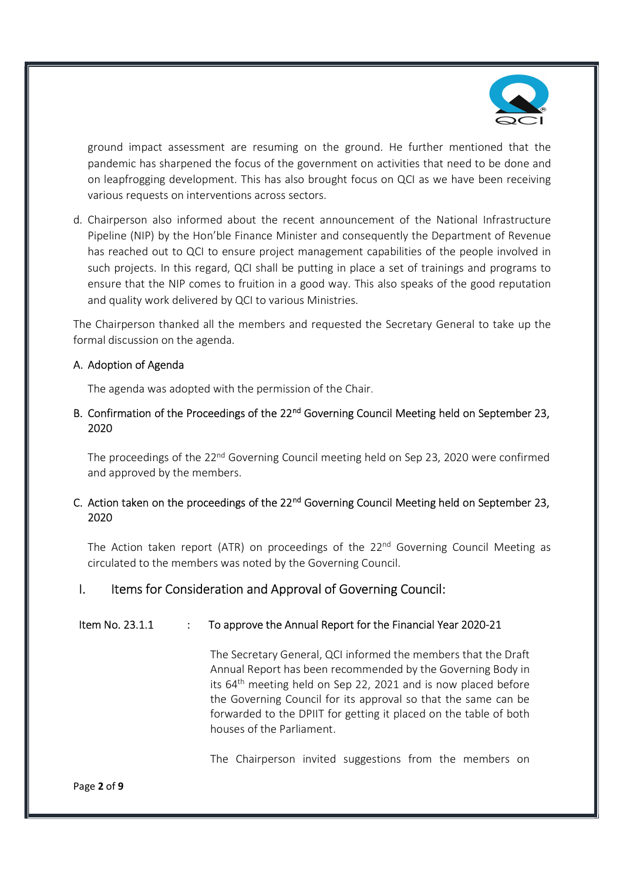

ground impact assessment are resuming on the ground. He further mentioned that the pandemic has sharpened the focus of the government on activities that need to be done and on leapfrogging development. This has also brought focus on QCI as we have been receiving various requests on interventions across sectors.

d. Chairperson also informed about the recent announcement of the National Infrastructure Pipeline (NIP) by the Hon'ble Finance Minister and consequently the Department of Revenue has reached out to QCI to ensure project management capabilities of the people involved in such projects. In this regard, QCI shall be putting in place a set of trainings and programs to ensure that the NIP comes to fruition in a good way. This also speaks of the good reputation and quality work delivered by QCI to various Ministries.

The Chairperson thanked all the members and requested the Secretary General to take up the formal discussion on the agenda.

#### A. Adoption of Agenda

The agenda was adopted with the permission of the Chair.

B. Confirmation of the Proceedings of the 22<sup>nd</sup> Governing Council Meeting held on September 23, 2020

The proceedings of the 22<sup>nd</sup> Governing Council meeting held on Sep 23, 2020 were confirmed and approved by the members.

#### C. Action taken on the proceedings of the  $22<sup>nd</sup>$  Governing Council Meeting held on September 23, 2020

The Action taken report (ATR) on proceedings of the  $22<sup>nd</sup>$  Governing Council Meeting as circulated to the members was noted by the Governing Council.

### I. Items for Consideration and Approval of Governing Council:

#### Item No. 23.1.1 : To approve the Annual Report for the Financial Year 2020-21

The Secretary General, QCI informed the members that the Draft Annual Report has been recommended by the Governing Body in its 64<sup>th</sup> meeting held on Sep 22, 2021 and is now placed before the Governing Council for its approval so that the same can be forwarded to the DPIIT for getting it placed on the table of both houses of the Parliament.

The Chairperson invited suggestions from the members on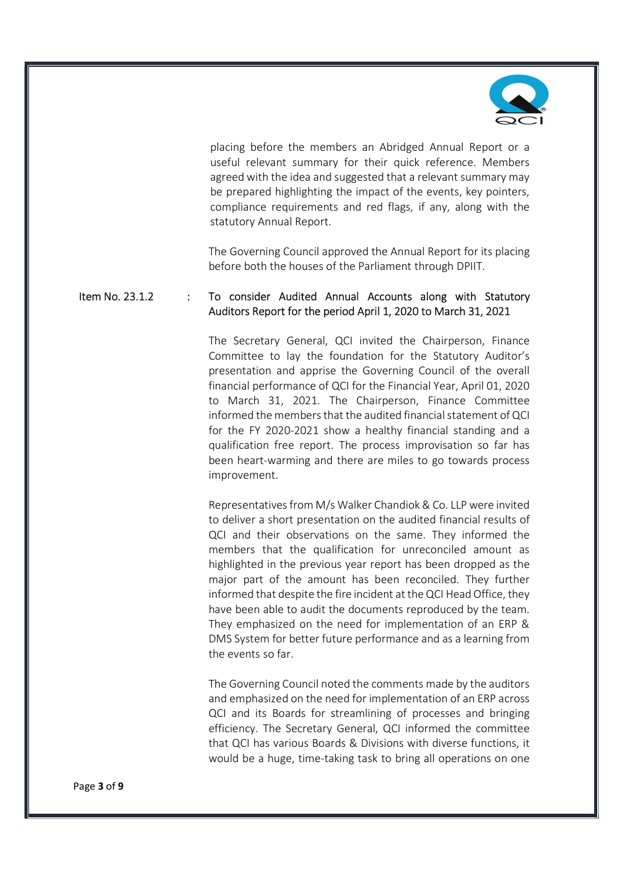

placing before the members an Abridged Annual Report or a useful relevant summary for their quick reference. Members agreed with the idea and suggested that a relevant summary may be prepared highlighting the impact of the events, key pointers, compliance requirements and red flags, if any, along with the statutory Annual Report.

The Governing Council approved the Annual Report for its placing before both the houses of the Parliament through DPIIT.

#### Item No. 23.1.2 : To consider Audited Annual Accounts along with Statutory Auditors Report for the period April 1, 2020 to March 31, 2021

The Secretary General, QCI invited the Chairperson, Finance Committee to lay the foundation for the Statutory Auditor's presentation and apprise the Governing Council of the overall financial performance of QCI for the Financial Year, April 01, 2020 to March 31, 2021. The Chairperson, Finance Committee informed the members that the audited financial statement of QCI for the FY 2020-2021 show a healthy financial standing and a qualification free report. The process improvisation so far has been heart-warming and there are miles to go towards process improvement.

Representatives from M/s Walker Chandiok & Co. LLP were invited to deliver a short presentation on the audited financial results of QCI and their observations on the same. They informed the members that the qualification for unreconciled amount as highlighted in the previous year report has been dropped as the major part of the amount has been reconciled. They further informed that despite the fire incident at the QCI Head Office, they have been able to audit the documents reproduced by the team. They emphasized on the need for implementation of an ERP & DMS System for better future performance and as a learning from the events so far.

The Governing Council noted the comments made by the auditors and emphasized on the need for implementation of an ERP across QCI and its Boards for streamlining of processes and bringing efficiency. The Secretary General, QCI informed the committee that QCI has various Boards & Divisions with diverse functions, it would be a huge, time-taking task to bring all operations on one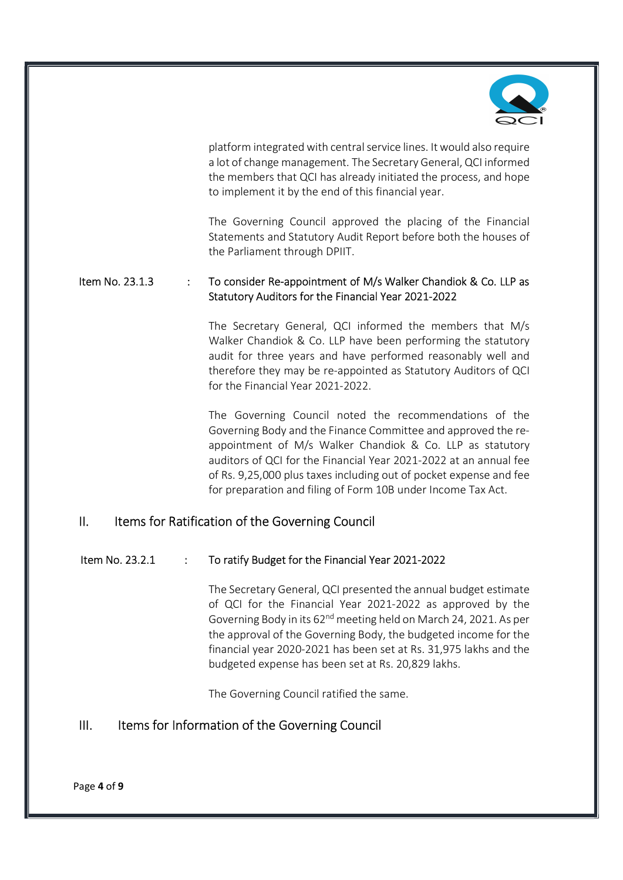

platform integrated with central service lines. It would also require a lot of change management. The Secretary General, QCI informed the members that QCI has already initiated the process, and hope to implement it by the end of this financial year.

The Governing Council approved the placing of the Financial Statements and Statutory Audit Report before both the houses of the Parliament through DPIIT.

#### Item No. 23.1.3 : To consider Re-appointment of M/s Walker Chandiok & Co. LLP as Statutory Auditors for the Financial Year 2021-2022

The Secretary General, QCI informed the members that M/s Walker Chandiok & Co. LLP have been performing the statutory audit for three years and have performed reasonably well and therefore they may be re-appointed as Statutory Auditors of QCI for the Financial Year 2021-2022.

The Governing Council noted the recommendations of the Governing Body and the Finance Committee and approved the reappointment of M/s Walker Chandiok & Co. LLP as statutory auditors of QCI for the Financial Year 2021-2022 at an annual fee of Rs. 9,25,000 plus taxes including out of pocket expense and fee for preparation and filing of Form 10B under Income Tax Act.

### II. Items for Ratification of the Governing Council

#### Item No. 23.2.1 : To ratify Budget for the Financial Year 2021-2022

The Secretary General, QCI presented the annual budget estimate of QCI for the Financial Year 2021-2022 as approved by the Governing Body in its 62<sup>nd</sup> meeting held on March 24, 2021. As per the approval of the Governing Body, the budgeted income for the financial year 2020-2021 has been set at Rs. 31,975 lakhs and the budgeted expense has been set at Rs. 20,829 lakhs.

The Governing Council ratified the same.

### III. Items for Information of the Governing Council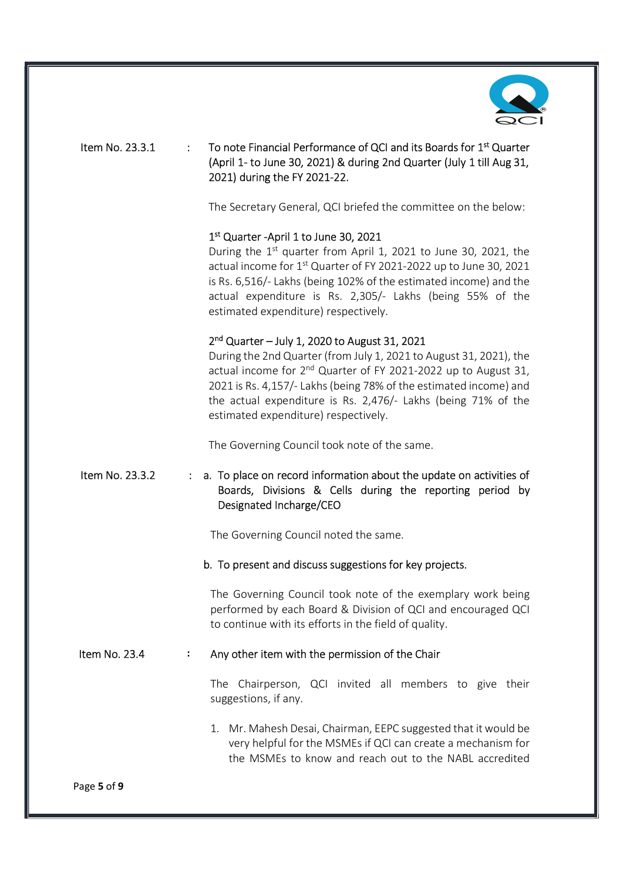

#### Item No. 23.3.1 : To note Financial Performance of QCI and its Boards for 1<sup>st</sup> Quarter (April 1- to June 30, 2021) & during 2nd Quarter (July 1 till Aug 31, 2021) during the FY 2021-22.

The Secretary General, QCI briefed the committee on the below:

#### 1<sup>st</sup> Quarter -April 1 to June 30, 2021

During the 1st quarter from April 1, 2021 to June 30, 2021, the actual income for 1<sup>st</sup> Quarter of FY 2021-2022 up to June 30, 2021 is Rs. 6,516/- Lakhs (being 102% of the estimated income) and the actual expenditure is Rs. 2,305/- Lakhs (being 55% of the estimated expenditure) respectively.

#### 2 nd Quarter – July 1, 2020 to August 31, 2021

During the 2nd Quarter (from July 1, 2021 to August 31, 2021), the actual income for 2<sup>nd</sup> Quarter of FY 2021-2022 up to August 31, 2021 is Rs. 4,157/- Lakhs (being 78% of the estimated income) and the actual expenditure is Rs. 2,476/- Lakhs (being 71% of the estimated expenditure) respectively.

The Governing Council took note of the same.

#### Item No. 23.3.2 : a. To place on record information about the update on activities of Boards, Divisions & Cells during the reporting period by Designated Incharge/CEO

The Governing Council noted the same.

#### b. To present and discuss suggestions for key projects.

The Governing Council took note of the exemplary work being performed by each Board & Division of QCI and encouraged QCI to continue with its efforts in the field of quality.

#### Item No. 23.4 : Any other item with the permission of the Chair

The Chairperson, QCI invited all members to give their suggestions, if any.

1. Mr. Mahesh Desai, Chairman, EEPC suggested that it would be very helpful for the MSMEs if QCI can create a mechanism for the MSMEs to know and reach out to the NABL accredited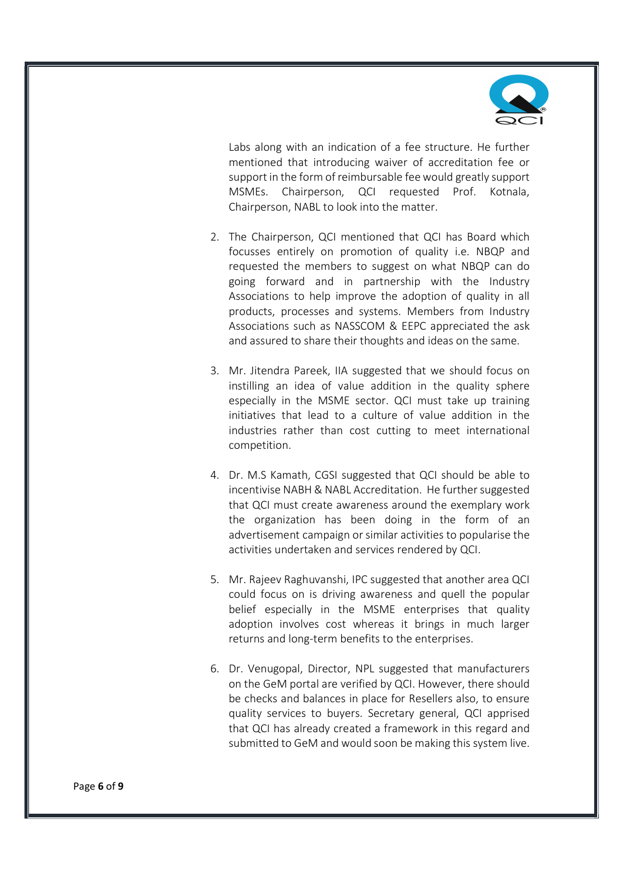

Labs along with an indication of a fee structure. He further mentioned that introducing waiver of accreditation fee or support in the form of reimbursable fee would greatly support MSMEs. Chairperson, QCI requested Prof. Kotnala, Chairperson, NABL to look into the matter.

- 2. The Chairperson, QCI mentioned that QCI has Board which focusses entirely on promotion of quality i.e. NBQP and requested the members to suggest on what NBQP can do going forward and in partnership with the Industry Associations to help improve the adoption of quality in all products, processes and systems. Members from Industry Associations such as NASSCOM & EEPC appreciated the ask and assured to share their thoughts and ideas on the same.
- 3. Mr. Jitendra Pareek, IIA suggested that we should focus on instilling an idea of value addition in the quality sphere especially in the MSME sector. QCI must take up training initiatives that lead to a culture of value addition in the industries rather than cost cutting to meet international competition.
- 4. Dr. M.S Kamath, CGSI suggested that QCI should be able to incentivise NABH & NABL Accreditation. He further suggested that QCI must create awareness around the exemplary work the organization has been doing in the form of an advertisement campaign or similar activities to popularise the activities undertaken and services rendered by QCI.
- 5. Mr. Rajeev Raghuvanshi, IPC suggested that another area QCI could focus on is driving awareness and quell the popular belief especially in the MSME enterprises that quality adoption involves cost whereas it brings in much larger returns and long-term benefits to the enterprises.
- 6. Dr. Venugopal, Director, NPL suggested that manufacturers on the GeM portal are verified by QCI. However, there should be checks and balances in place for Resellers also, to ensure quality services to buyers. Secretary general, QCI apprised that QCI has already created a framework in this regard and submitted to GeM and would soon be making this system live.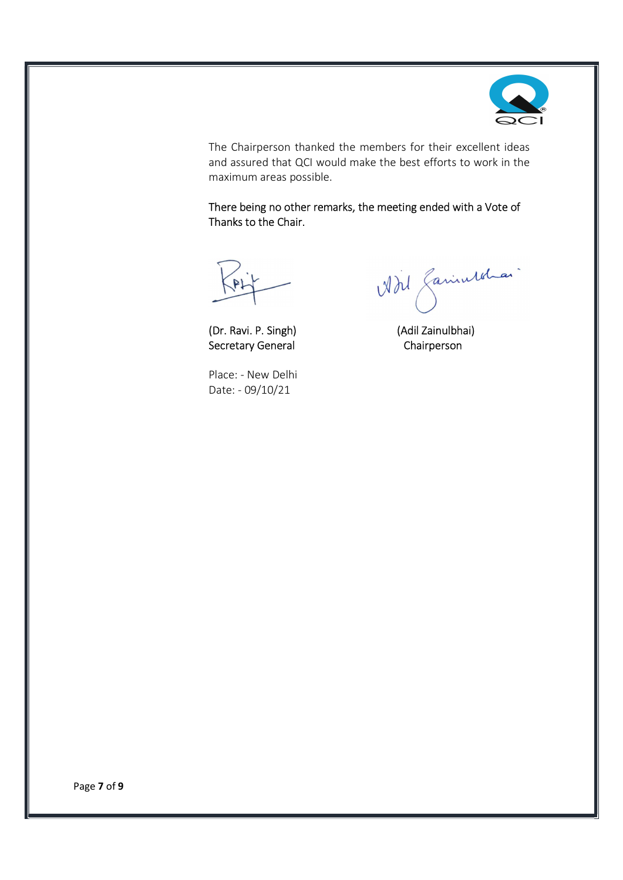

The Chairperson thanked the members for their excellent ideas and assured that QCI would make the best efforts to work in the maximum areas possible.

There being no other remarks, the meeting ended with a Vote of Thanks to the Chair.

Secretary General Chairperson

 Place: - New Delhi Date: - 09/10/21

KPLT<br>(Dr. Ravi. P. Singh) (Adil Zainulbhai)

Page 7 of 9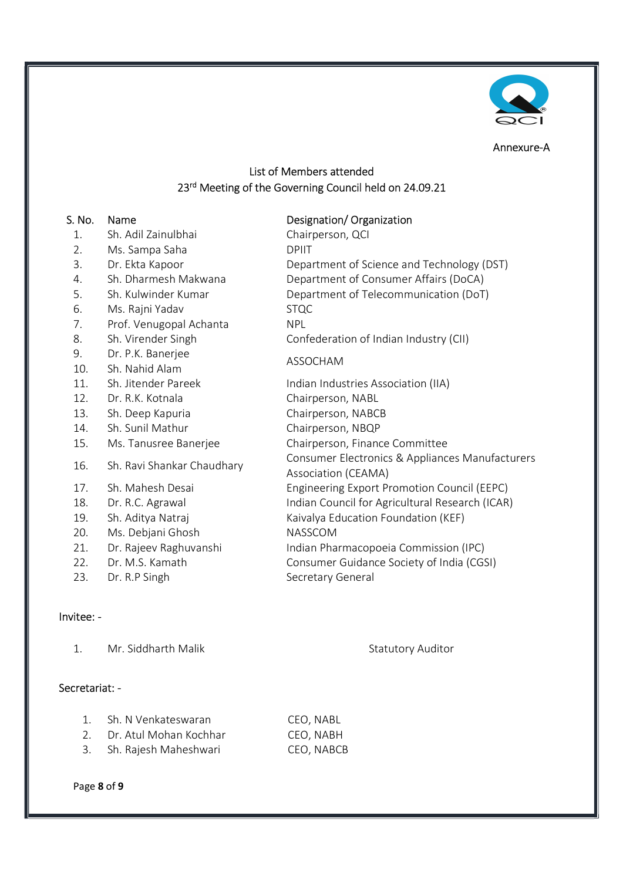

#### Annexure-A

## List of Members attended 23<sup>rd</sup> Meeting of the Governing Council held on 24.09.21

- 1. Sh. Adil Zainulbhai Chairperson, QCI
- 2. Ms. Sampa Saha **DPIIT**
- 
- 
- 
- 6. Ms. Rajni Yadav STQC
- 7. Prof. Venugopal Achanta NPL
- 
- 9. Dr. P.K. Banerjee<br>10. Sh. Nahid Alam ASSOCHAM
- 
- 
- 12. Dr. R.K. Kotnala Chairperson, NABL
- 13. Sh. Deep Kapuria Chairperson, NABCB
- 14. Sh. Sunil Mathur Chairperson, NBQP
- 
- 
- 
- 
- 
- 20. Ms. Debjani Ghosh NASSCOM
- 
- 
- 23. Dr. R.P Singh Secretary General

### Invitee: -

1. Mr. Siddharth Malik Statutory Auditor

### Secretariat: -

| 1. | Sh. N Venkateswaran       | CEO, NABL  |
|----|---------------------------|------------|
|    | 2. Dr. Atul Mohan Kochhar | CEO, NABH  |
|    | 3. Sh. Rajesh Maheshwari  | CEO, NABCB |

#### Page 8 of 9

## S. No. Name Sanctic Contract Contract Designation/ Organization

3. Dr. Ekta Kapoor Department of Science and Technology (DST) 4. Sh. Dharmesh Makwana Department of Consumer Affairs (DoCA) 5. Sh. Kulwinder Kumar Department of Telecommunication (DoT) 8. Sh. Virender Singh Confederation of Indian Industry (CII)

11. Sh. Jitender Pareek Indian Industries Association (IIA) 15. Ms. Tanusree Banerjee Chairperson, Finance Committee 16. Sh. Ravi Shankar Chaudhary Consumer Electronics & Appliances Manufacturers Association (CEAMA) 17. Sh. Mahesh Desai Engineering Export Promotion Council (EEPC) 18. Dr. R.C. Agrawal **Indian Council for Agricultural Research (ICAR)** 19. Sh. Aditya Natraj Kaivalya Education Foundation (KEF) 21. Dr. Rajeev Raghuvanshi Indian Pharmacopoeia Commission (IPC) 22. Dr. M.S. Kamath Consumer Guidance Society of India (CGSI)